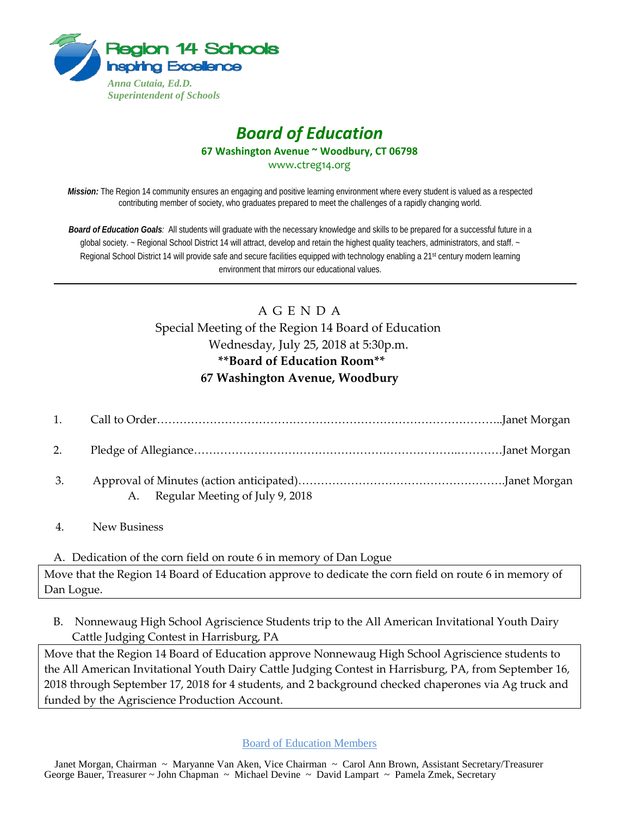

## *Board of Education* **67 Washington Avenue ~ Woodbury, CT 06798** www.ctreg14.org

*Mission:* The Region 14 community ensures an engaging and positive learning environment where every student is valued as a respected contributing member of society, who graduates prepared to meet the challenges of a rapidly changing world.

*Board of Education Goals:* All students will graduate with the necessary knowledge and skills to be prepared for a successful future in a global society. ~ Regional School District 14 will attract, develop and retain the highest quality teachers, administrators, and staff. ~ Regional School District 14 will provide safe and secure facilities equipped with technology enabling a 21st century modern learning environment that mirrors our educational values.

## A G E N D A Special Meeting of the Region 14 Board of Education

Wednesday, July 25, 2018 at 5:30p.m. **\*\*Board of Education Room\*\***

# **67 Washington Avenue, Woodbury**

| 2. |                                    |  |
|----|------------------------------------|--|
| 3. | A. Regular Meeting of July 9, 2018 |  |

4. New Business

### A. Dedication of the corn field on route 6 in memory of Dan Logue

Move that the Region 14 Board of Education approve to dedicate the corn field on route 6 in memory of Dan Logue.

B. Nonnewaug High School Agriscience Students trip to the All American Invitational Youth Dairy Cattle Judging Contest in Harrisburg, PA

Move that the Region 14 Board of Education approve Nonnewaug High School Agriscience students to the All American Invitational Youth Dairy Cattle Judging Contest in Harrisburg, PA, from September 16, 2018 through September 17, 2018 for 4 students, and 2 background checked chaperones via Ag truck and funded by the Agriscience Production Account.

#### Board of Education Members